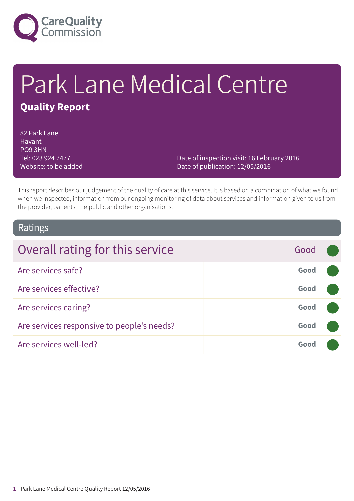

# Park Lane Medical Centre **Quality Report**

82 Park Lane Havant PO9 3HN Tel: 023 924 7477 Website: to be added

Date of inspection visit: 16 February 2016 Date of publication: 12/05/2016

This report describes our judgement of the quality of care at this service. It is based on a combination of what we found when we inspected, information from our ongoing monitoring of data about services and information given to us from the provider, patients, the public and other organisations.

### Ratings

| Overall rating for this service            | Good |  |
|--------------------------------------------|------|--|
| Are services safe?                         | Good |  |
| Are services effective?                    | Good |  |
| Are services caring?                       | Good |  |
| Are services responsive to people's needs? | Good |  |
| Are services well-led?                     | Good |  |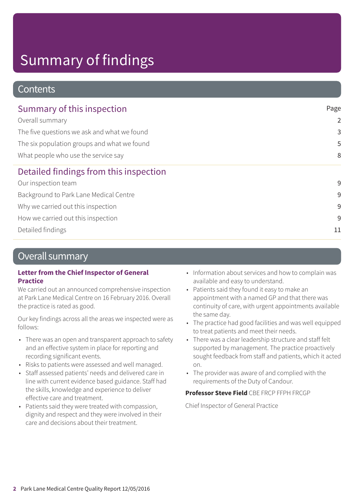### **Contents**

| Summary of this inspection                  | Page           |  |
|---------------------------------------------|----------------|--|
| Overall summary                             | $\overline{2}$ |  |
| The five questions we ask and what we found | 3              |  |
| The six population groups and what we found | 5              |  |
| What people who use the service say         | 8              |  |
| Detailed findings from this inspection      |                |  |
| Our inspection team                         | 9              |  |
| Background to Park Lane Medical Centre      | 9              |  |
| Why we carried out this inspection          | 9              |  |
| How we carried out this inspection          | 9              |  |
| Detailed findings                           | 11             |  |

### Overall summary

#### **Letter from the Chief Inspector of General Practice**

We carried out an announced comprehensive inspection at Park Lane Medical Centre on 16 February 2016. Overall the practice is rated as good.

Our key findings across all the areas we inspected were as follows:

- There was an open and transparent approach to safety and an effective system in place for reporting and recording significant events.
- Risks to patients were assessed and well managed.
- Staff assessed patients' needs and delivered care in line with current evidence based guidance. Staff had the skills, knowledge and experience to deliver effective care and treatment.
- Patients said they were treated with compassion, dignity and respect and they were involved in their care and decisions about their treatment.
- Information about services and how to complain was available and easy to understand.
- Patients said they found it easy to make an appointment with a named GP and that there was continuity of care, with urgent appointments available the same day.
- The practice had good facilities and was well equipped to treat patients and meet their needs.
- There was a clear leadership structure and staff felt supported by management. The practice proactively sought feedback from staff and patients, which it acted on.
- The provider was aware of and complied with the requirements of the Duty of Candour.

#### **Professor Steve Field** CBE FRCP FFPH FRCGP

Chief Inspector of General Practice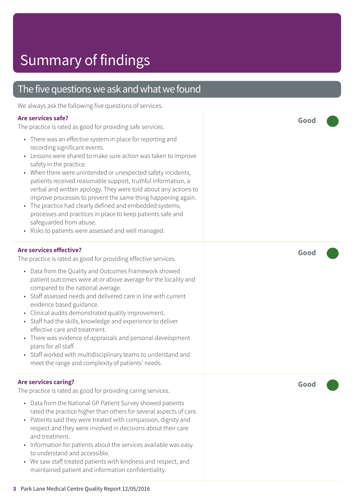### The five questions we ask and what we found

We always ask the following five questions of services.

#### **Are services safe?**

The practice is rated as good for providing safe services.

- There was an effective system in place for reporting and recording significant events.
- Lessons were shared to make sure action was taken to improve safety in the practice.
- When there were unintended or unexpected safety incidents, patients received reasonable support, truthful information, a verbal and written apology. They were told about any actions to improve processes to prevent the same thing happening again.
- The practice had clearly defined and embedded systems, processes and practices in place to keep patients safe and safeguarded from abuse.
- Risks to patients were assessed and well managed.

#### **Are services effective?**

The practice is rated as good for providing effective services.

- Data from the Quality and Outcomes Framework showed patient outcomes were at or above average for the locality and compared to the national average.
- Staff assessed needs and delivered care in line with current evidence based guidance.
- Clinical audits demonstrated quality improvement.
- Staff had the skills, knowledge and experience to deliver effective care and treatment.
- There was evidence of appraisals and personal development plans for all staff.
- Staff worked with multidisciplinary teams to understand and meet the range and complexity of patients' needs.

#### **Are services caring?**

The practice is rated as good for providing caring services.

- Data from the National GP Patient Survey showed patients rated the practice higher than others for several aspects of care.
- Patients said they were treated with compassion, dignity and respect and they were involved in decisions about their care and treatment.
- Information for patients about the services available was easy to understand and accessible.
- We saw staff treated patients with kindness and respect, and maintained patient and information confidentiality.

**Good –––**

**Good –––**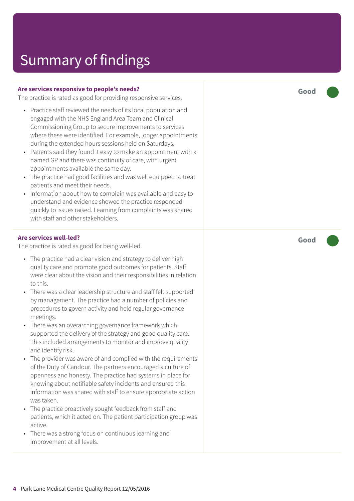#### **Are services responsive to people's needs?**

The practice is rated as good for providing responsive services.

- Practice staff reviewed the needs of its local population and engaged with the NHS England Area Team and Clinical Commissioning Group to secure improvements to services where these were identified. For example, longer appointments during the extended hours sessions held on Saturdays.
- Patients said they found it easy to make an appointment with a named GP and there was continuity of care, with urgent appointments available the same day.
- The practice had good facilities and was well equipped to treat patients and meet their needs.
- Information about how to complain was available and easy to understand and evidence showed the practice responded quickly to issues raised. Learning from complaints was shared with staff and other stakeholders.

#### **Are services well-led?**

The practice is rated as good for being well-led.

- The practice had a clear vision and strategy to deliver high quality care and promote good outcomes for patients. Staff were clear about the vision and their responsibilities in relation to this.
- There was a clear leadership structure and staff felt supported by management. The practice had a number of policies and procedures to govern activity and held regular governance meetings.
- There was an overarching governance framework which supported the delivery of the strategy and good quality care. This included arrangements to monitor and improve quality and identify risk.
- The provider was aware of and complied with the requirements of the Duty of Candour. The partners encouraged a culture of openness and honesty. The practice had systems in place for knowing about notifiable safety incidents and ensured this information was shared with staff to ensure appropriate action was taken.
- The practice proactively sought feedback from staff and patients, which it acted on. The patient participation group was active.
- There was a strong focus on continuous learning and improvement at all levels.

**Good –––**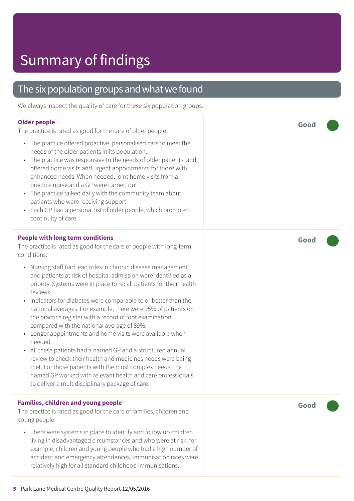### The six population groups and what we found

We always inspect the quality of care for these six population groups.

#### **Older people**

The practice is rated as good for the care of older people.

- The practice offered proactive, personalised care to meet the needs of the older patients in its population.
- The practice was responsive to the needs of older patients, and offered home visits and urgent appointments for those with enhanced needs. When needed, joint home visits from a practice nurse and a GP were carried out.
- The practice talked daily with the community team about patients who were receiving support.
- Each GP had a personal list of older people, which promoted continuity of care.

#### **People with long term conditions**

The practice is rated as good for the care of people with long-term conditions.

- Nursing staff had lead roles in chronic disease management and patients at risk of hospital admission were identified as a priority. Systems were in place to recall patients for their health reviews.
- Indicators for diabetes were comparable to or better than the national averages. For example, there were 95% of patients on the practice register with a record of foot examination compared with the national average of 89%.
- Longer appointments and home visits were available when needed.
- All these patients had a named GP and a structured annual review to check their health and medicines needs were being met. For those patients with the most complex needs, the named GP worked with relevant health and care professionals to deliver a multidisciplinary package of care.

#### **Families, children and young people**

The practice is rated as good for the care of families, children and young people.

• There were systems in place to identify and follow up children living in disadvantaged circumstances and who were at risk, for example, children and young people who had a high number of accident and emergency attendances. Immunisation rates were relatively high for all standard childhood immunisations.

**Good –––**

**Good –––**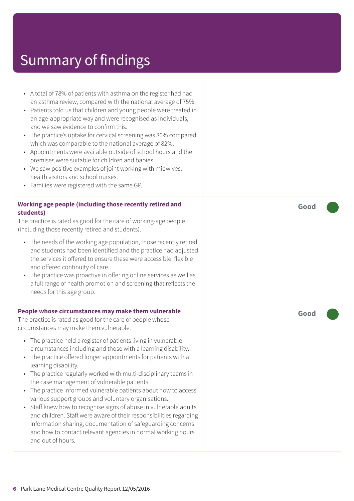| A total of 78% of patients with asthma on the register had had<br>٠<br>an asthma review, compared with the national average of 75%.<br>Patients told us that children and young people were treated in<br>٠<br>an age-appropriate way and were recognised as individuals,<br>and we saw evidence to confirm this.<br>The practice's uptake for cervical screening was 80% compared<br>$\bullet$<br>which was comparable to the national average of 82%.<br>Appointments were available outside of school hours and the<br>$\bullet$<br>premises were suitable for children and babies.<br>We saw positive examples of joint working with midwives,<br>$\bullet$<br>health visitors and school nurses.<br>Families were registered with the same GP.<br>$\bullet$                                 |  |
|--------------------------------------------------------------------------------------------------------------------------------------------------------------------------------------------------------------------------------------------------------------------------------------------------------------------------------------------------------------------------------------------------------------------------------------------------------------------------------------------------------------------------------------------------------------------------------------------------------------------------------------------------------------------------------------------------------------------------------------------------------------------------------------------------|--|
| Working age people (including those recently retired and<br>students)<br>The practice is rated as good for the care of working-age people<br>(including those recently retired and students).                                                                                                                                                                                                                                                                                                                                                                                                                                                                                                                                                                                                    |  |
| • The needs of the working age population, those recently retired<br>and students had been identified and the practice had adjusted<br>the services it offered to ensure these were accessible, flexible<br>and offered continuity of care.<br>The practice was proactive in offering online services as well as<br>$\bullet$<br>a full range of health promotion and screening that reflects the<br>needs for this age group.                                                                                                                                                                                                                                                                                                                                                                   |  |
| People whose circumstances may make them vulnerable<br>The practice is rated as good for the care of people whose<br>circumstances may make them vulnerable.                                                                                                                                                                                                                                                                                                                                                                                                                                                                                                                                                                                                                                     |  |
| The practice held a register of patients living in vulnerable<br>$\bullet$<br>circumstances including and those with a learning disability.<br>The practice offered longer appointments for patients with a<br>learning disability.<br>The practice regularly worked with multi-disciplinary teams in<br>$\bullet$<br>the case management of vulnerable patients.<br>The practice informed vulnerable patients about how to access<br>٠<br>various support groups and voluntary organisations.<br>Staff knew how to recognise signs of abuse in vulnerable adults<br>٠<br>and children. Staff were aware of their responsibilities regarding<br>information sharing, documentation of safeguarding concerns<br>and how to contact relevant agencies in normal working hours<br>and out of hours. |  |

**Good –––**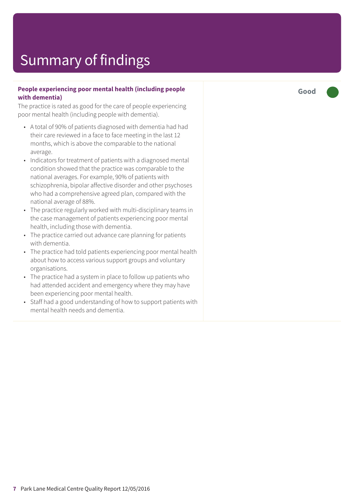#### **People experiencing poor mental health (including people with dementia)**

The practice is rated as good for the care of people experiencing poor mental health (including people with dementia).

- A total of 90% of patients diagnosed with dementia had had their care reviewed in a face to face meeting in the last 12 months, which is above the comparable to the national average.
- Indicators for treatment of patients with a diagnosed mental condition showed that the practice was comparable to the national averages. For example, 90% of patients with schizophrenia, bipolar affective disorder and other psychoses who had a comprehensive agreed plan, compared with the national average of 88%.
- The practice regularly worked with multi-disciplinary teams in the case management of patients experiencing poor mental health, including those with dementia.
- The practice carried out advance care planning for patients with dementia.
- The practice had told patients experiencing poor mental health about how to access various support groups and voluntary organisations.
- The practice had a system in place to follow up patients who had attended accident and emergency where they may have been experiencing poor mental health.
- Staff had a good understanding of how to support patients with mental health needs and dementia.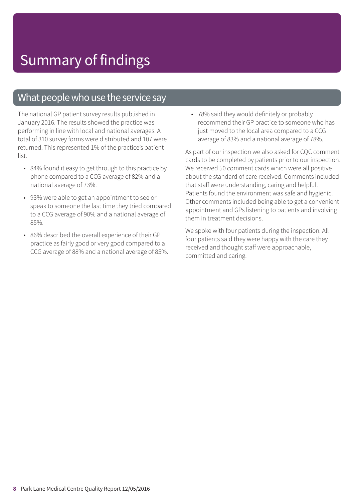### What people who use the service say

The national GP patient survey results published in January 2016. The results showed the practice was performing in line with local and national averages. A total of 310 survey forms were distributed and 107 were returned. This represented 1% of the practice's patient list.

- 84% found it easy to get through to this practice by phone compared to a CCG average of 82% and a national average of 73%.
- 93% were able to get an appointment to see or speak to someone the last time they tried compared to a CCG average of 90% and a national average of 85%.
- 86% described the overall experience of their GP practice as fairly good or very good compared to a CCG average of 88% and a national average of 85%.

• 78% said they would definitely or probably recommend their GP practice to someone who has just moved to the local area compared to a CCG average of 83% and a national average of 78%.

As part of our inspection we also asked for CQC comment cards to be completed by patients prior to our inspection. We received 50 comment cards which were all positive about the standard of care received. Comments included that staff were understanding, caring and helpful. Patients found the environment was safe and hygienic. Other comments included being able to get a convenient appointment and GPs listening to patients and involving them in treatment decisions.

We spoke with four patients during the inspection. All four patients said they were happy with the care they received and thought staff were approachable, committed and caring.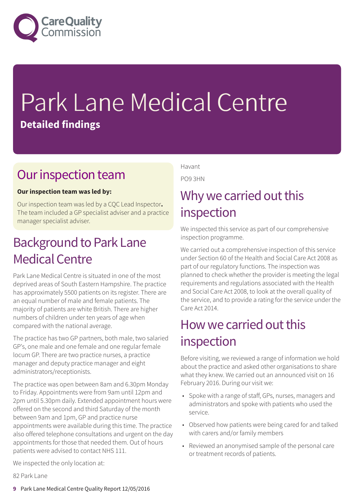

# Park Lane Medical Centre **Detailed findings**

### Our inspection team

#### **Our inspection team was led by:**

Our inspection team was led by a CQC Lead Inspector**.** The team included a GP specialist adviser and a practice manager specialist adviser.

### **Background to Park Lane** Medical Centre

Park Lane Medical Centre is situated in one of the most deprived areas of South Eastern Hampshire. The practice has approximately 5500 patients on its register. There are an equal number of male and female patients. The majority of patients are white British. There are higher numbers of children under ten years of age when compared with the national average.

The practice has two GP partners, both male, two salaried GP's, one male and one female and one regular female locum GP. There are two practice nurses, a practice manager and deputy practice manager and eight administrators/receptionists.

The practice was open between 8am and 6.30pm Monday to Friday. Appointments were from 9am until 12pm and 2pm until 5.30pm daily. Extended appointment hours were offered on the second and third Saturday of the month between 9am and 1pm, GP and practice nurse appointments were available during this time. The practice also offered telephone consultations and urgent on the day appointments for those that needed them. Out of hours patients were advised to contact NHS 111.

Havant

PO9 3HN

### Why we carried out this inspection

We inspected this service as part of our comprehensive inspection programme.

We carried out a comprehensive inspection of this service under Section 60 of the Health and Social Care Act 2008 as part of our regulatory functions. The inspection was planned to check whether the provider is meeting the legal requirements and regulations associated with the Health and Social Care Act 2008, to look at the overall quality of the service, and to provide a rating for the service under the Care Act 2014.

### How we carried out this inspection

Before visiting, we reviewed a range of information we hold about the practice and asked other organisations to share what they knew. We carried out an announced visit on 16 February 2016. During our visit we:

- Spoke with a range of staff, GPs, nurses, managers and administrators and spoke with patients who used the service.
- Observed how patients were being cared for and talked with carers and/or family members
- Reviewed an anonymised sample of the personal care or treatment records of patients.

We inspected the only location at:

82 Park Lane

**9** Park Lane Medical Centre Quality Report 12/05/2016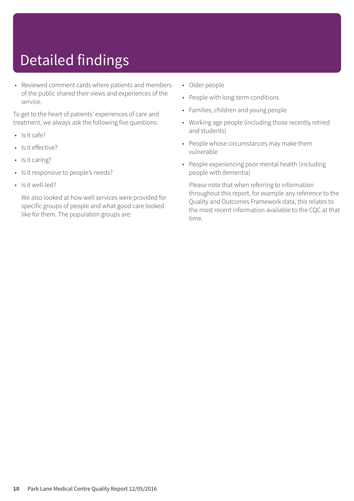# Detailed findings

• Reviewed comment cards where patients and members of the public shared their views and experiences of the service.

To get to the heart of patients' experiences of care and treatment, we always ask the following five questions:

- Is it safe?
- Is it effective?
- Is it caring?
- Is it responsive to people's needs?
- Is it well-led?

We also looked at how well services were provided for specific groups of people and what good care looked like for them. The population groups are:

- Older people
- People with long-term conditions
- Families, children and young people
- Working age people (including those recently retired and students)
- People whose circumstances may make them vulnerable
- People experiencing poor mental health (including people with dementia)

Please note that when referring to information throughout this report, for example any reference to the Quality and Outcomes Framework data, this relates to the most recent information available to the CQC at that time.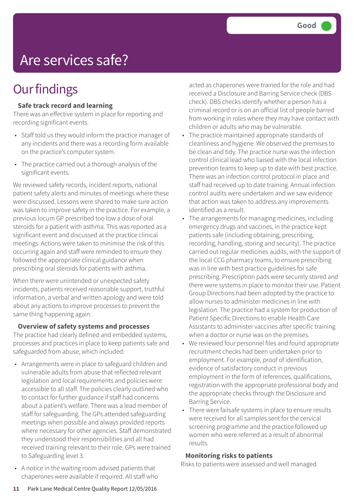## Are services safe?

### **Our findings**

#### **Safe track record and learning**

There was an effective system in place for reporting and recording significant events.

- Staff told us they would inform the practice manager of any incidents and there was a recording form available on the practice's computer system.
- The practice carried out a thorough analysis of the significant events.

We reviewed safety records, incident reports, national patient safety alerts and minutes of meetings where these were discussed. Lessons were shared to make sure action was taken to improve safety in the practice. For example, a previous locum GP prescribed too low a dose of oral steroids for a patient with asthma. This was reported as a significant event and discussed at the practice clinical meetings. Actions were taken to minimise the risk of this occurring again and staff were reminded to ensure they followed the appropriate clinical guidance when prescribing oral steroids for patients with asthma.

When there were unintended or unexpected safety incidents, patients received reasonable support, truthful information, a verbal and written apology and were told about any actions to improve processes to prevent the same thing happening again.

#### **Overview of safety systems and processes**

The practice had clearly defined and embedded systems, processes and practices in place to keep patients safe and safeguarded from abuse, which included:

- Arrangements were in place to safeguard children and vulnerable adults from abuse that reflected relevant legislation and local requirements and policies were accessible to all staff. The policies clearly outlined who to contact for further guidance if staff had concerns about a patient's welfare. There was a lead member of staff for safeguarding. The GPs attended safeguarding meetings when possible and always provided reports where necessary for other agencies. Staff demonstrated they understood their responsibilities and all had received training relevant to their role. GPs were trained to Safeguarding level 3.
- A notice in the waiting room advised patients that chaperones were available if required. All staff who

acted as chaperones were trained for the role and had received a Disclosure and Barring Service check (DBS check). DBS checks identify whether a person has a criminal record or is on an official list of people barred from working in roles where they may have contact with children or adults who may be vulnerable.

- The practice maintained appropriate standards of cleanliness and hygiene. We observed the premises to be clean and tidy. The practice nurse was the infection control clinical lead who liaised with the local infection prevention teams to keep up to date with best practice. There was an infection control protocol in place and staff had received up to date training. Annual infection control audits were undertaken and we saw evidence that action was taken to address any improvements identified as a result.
- The arrangements for managing medicines, including emergency drugs and vaccines, in the practice kept patients safe (including obtaining, prescribing, recording, handling, storing and security). The practice carried out regular medicines audits, with the support of the local CCG pharmacy teams, to ensure prescribing was in line with best practice guidelines for safe prescribing. Prescription pads were securely stored and there were systems in place to monitor their use. Patient Group Directions had been adopted by the practice to allow nurses to administer medicines in line with legislation. The practice had a system for production of Patient Specific Directions to enable Health Care Assistants to administer vaccines after specific training when a doctor or nurse was on the premises.
- We reviewed four personnel files and found appropriate recruitment checks had been undertaken prior to employment. For example, proof of identification, evidence of satisfactory conduct in previous employment in the form of references, qualifications, registration with the appropriate professional body and the appropriate checks through the Disclosure and Barring Service.
- There were failsafe systems in place to ensure results were received for all samples sent for the cervical screening programme and the practice followed up women who were referred as a result of abnormal results.

#### **Monitoring risks to patients**

Risks to patients were assessed and well managed.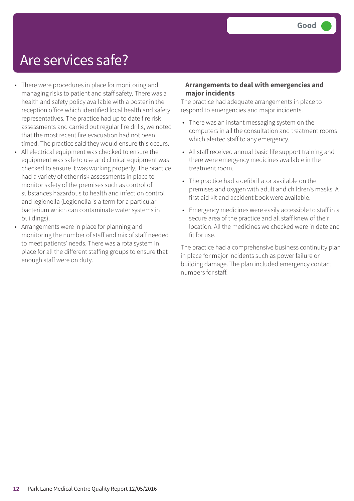### Are services safe?

- There were procedures in place for monitoring and managing risks to patient and staff safety. There was a health and safety policy available with a poster in the reception office which identified local health and safety representatives. The practice had up to date fire risk assessments and carried out regular fire drills, we noted that the most recent fire evacuation had not been timed. The practice said they would ensure this occurs.
- All electrical equipment was checked to ensure the equipment was safe to use and clinical equipment was checked to ensure it was working properly. The practice had a variety of other risk assessments in place to monitor safety of the premises such as control of substances hazardous to health and infection control and legionella (Legionella is a term for a particular bacterium which can contaminate water systems in buildings).
- Arrangements were in place for planning and monitoring the number of staff and mix of staff needed to meet patients' needs. There was a rota system in place for all the different staffing groups to ensure that enough staff were on duty.

#### **Arrangements to deal with emergencies and major incidents**

The practice had adequate arrangements in place to respond to emergencies and major incidents.

- There was an instant messaging system on the computers in all the consultation and treatment rooms which alerted staff to any emergency.
- All staff received annual basic life support training and there were emergency medicines available in the treatment room.
- The practice had a defibrillator available on the premises and oxygen with adult and children's masks. A first aid kit and accident book were available.
- Emergency medicines were easily accessible to staff in a secure area of the practice and all staff knew of their location. All the medicines we checked were in date and fit for use.

The practice had a comprehensive business continuity plan in place for major incidents such as power failure or building damage. The plan included emergency contact numbers for staff.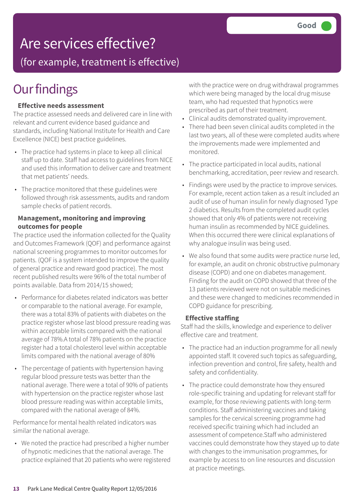## Are services effective?

(for example, treatment is effective)

## **Our findings**

#### **Effective needs assessment**

The practice assessed needs and delivered care in line with relevant and current evidence based guidance and standards, including National Institute for Health and Care Excellence (NICE) best practice guidelines.

- The practice had systems in place to keep all clinical staff up to date. Staff had access to guidelines from NICE and used this information to deliver care and treatment that met patients' needs.
- The practice monitored that these guidelines were followed through risk assessments, audits and random sample checks of patient records.

#### **Management, monitoring and improving outcomes for people**

The practice used the information collected for the Quality and Outcomes Framework (QOF) and performance against national screening programmes to monitor outcomes for patients. (QOF is a system intended to improve the quality of general practice and reward good practice). The most recent published results were 96% of the total number of points available. Data from 2014/15 showed;

- Performance for diabetes related indicators was better or comparable to the national average. For example, there was a total 83% of patients with diabetes on the practice register whose last blood pressure reading was within acceptable limits compared with the national average of 78%.A total of 78% patients on the practice register had a total cholesterol level within acceptable limits compared with the national average of 80%
- The percentage of patients with hypertension having regular blood pressure tests was better than the national average. There were a total of 90% of patients with hypertension on the practice register whose last blood pressure reading was within acceptable limits, compared with the national average of 84%.

Performance for mental health related indicators was similar the national average.

• We noted the practice had prescribed a higher number of hypnotic medicines that the national average. The practice explained that 20 patients who were registered with the practice were on drug withdrawal programmes which were being managed by the local drug misuse team, who had requested that hypnotics were prescribed as part of their treatment.

- Clinical audits demonstrated quality improvement.
- There had been seven clinical audits completed in the last two years, all of these were completed audits where the improvements made were implemented and monitored.
- The practice participated in local audits, national benchmarking, accreditation, peer review and research.
- Findings were used by the practice to improve services. For example, recent action taken as a result included an audit of use of human insulin for newly diagnosed Type 2 diabetics. Results from the completed audit cycles showed that only 4% of patients were not receiving human insulin as recommended by NICE guidelines. When this occurred there were clinical explanations of why analogue insulin was being used.
- We also found that some audits were practice nurse led, for example, an audit on chronic obstructive pulmonary disease (COPD) and one on diabetes management. Finding for the audit on COPD showed that three of the 13 patients reviewed were not on suitable medicines and these were changed to medicines recommended in COPD guidance for prescribing.

#### **Effective staffing**

Staff had the skills, knowledge and experience to deliver effective care and treatment.

- The practice had an induction programme for all newly appointed staff. It covered such topics as safeguarding, infection prevention and control, fire safety, health and safety and confidentiality.
- The practice could demonstrate how they ensured role-specific training and updating for relevant staff for example, for those reviewing patients with long-term conditions. Staff administering vaccines and taking samples for the cervical screening programme had received specific training which had included an assessment of competence.Staff who administered vaccines could demonstrate how they stayed up to date with changes to the immunisation programmes, for example by access to on line resources and discussion at practice meetings.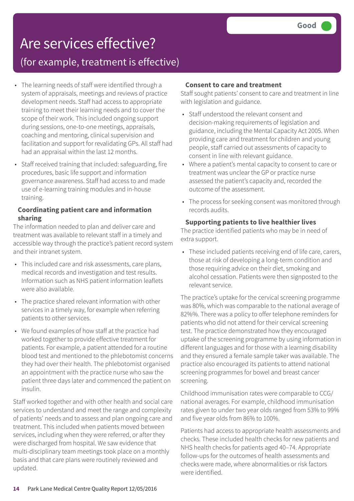## Are services effective?

### (for example, treatment is effective)

- The learning needs of staff were identified through a system of appraisals, meetings and reviews of practice development needs. Staff had access to appropriate training to meet their learning needs and to cover the scope of their work. This included ongoing support during sessions, one-to-one meetings, appraisals, coaching and mentoring, clinical supervision and facilitation and support for revalidating GPs. All staff had had an appraisal within the last 12 months.
- Staff received training that included: safeguarding, fire procedures, basic life support and information governance awareness. Staff had access to and made use of e-learning training modules and in-house training.

#### **Coordinating patient care and information sharing**

The information needed to plan and deliver care and treatment was available to relevant staff in a timely and accessible way through the practice's patient record system and their intranet system.

- This included care and risk assessments, care plans, medical records and investigation and test results. Information such as NHS patient information leaflets were also available.
- The practice shared relevant information with other services in a timely way, for example when referring patients to other services.
- We found examples of how staff at the practice had worked together to provide effective treatment for patients. For example, a patient attended for a routine blood test and mentioned to the phlebotomist concerns they had over their health. The phlebotomist organised an appointment with the practice nurse who saw the patient three days later and commenced the patient on insulin.

Staff worked together and with other health and social care services to understand and meet the range and complexity of patients' needs and to assess and plan ongoing care and treatment. This included when patients moved between services, including when they were referred, or after they were discharged from hospital. We saw evidence that multi-disciplinary team meetings took place on a monthly basis and that care plans were routinely reviewed and updated.

#### **Consent to care and treatment**

Staff sought patients' consent to care and treatment in line with legislation and guidance.

- Staff understood the relevant consent and decision-making requirements of legislation and guidance, including the Mental Capacity Act 2005. When providing care and treatment for children and young people, staff carried out assessments of capacity to consent in line with relevant guidance.
- Where a patient's mental capacity to consent to care or treatment was unclear the GP or practice nurse assessed the patient's capacity and, recorded the outcome of the assessment.
- The process for seeking consent was monitored through records audits.

#### **Supporting patients to live healthier lives**

The practice identified patients who may be in need of extra support.

• These included patients receiving end of life care, carers, those at risk of developing a long-term condition and those requiring advice on their diet, smoking and alcohol cessation. Patients were then signposted to the relevant service.

The practice's uptake for the cervical screening programme was 80%, which was comparable to the national average of 82%%. There was a policy to offer telephone reminders for patients who did not attend for their cervical screening test. The practice demonstrated how they encouraged uptake of the screening programme by using information in different languages and for those with a learning disability and they ensured a female sample taker was available. The practice also encouraged its patients to attend national screening programmes for bowel and breast cancer screening.

Childhood immunisation rates were comparable to CCG/ national averages. For example, childhood immunisation rates given to under two year olds ranged from 53% to 99% and five year olds from 86% to 100%.

Patients had access to appropriate health assessments and checks. These included health checks for new patients and NHS health checks for patients aged 40–74. Appropriate follow-ups for the outcomes of health assessments and checks were made, where abnormalities or risk factors were identified.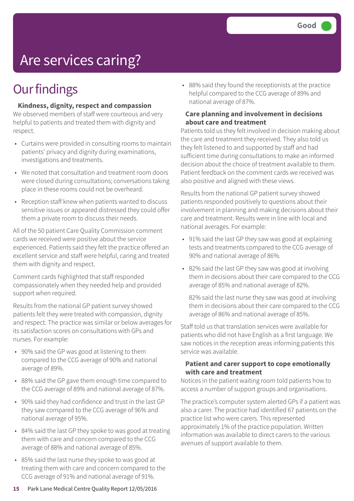# Are services caring?

### **Our findings**

#### **Kindness, dignity, respect and compassion**

We observed members of staff were courteous and very helpful to patients and treated them with dignity and respect.

- Curtains were provided in consulting rooms to maintain patients' privacy and dignity during examinations, investigations and treatments.
- We noted that consultation and treatment room doors were closed during consultations; conversations taking place in these rooms could not be overheard.
- Reception staff knew when patients wanted to discuss sensitive issues or appeared distressed they could offer them a private room to discuss their needs.

All of the 50 patient Care Quality Commission comment cards we received were positive about the service experienced. Patients said they felt the practice offered an excellent service and staff were helpful, caring and treated them with dignity and respect.

Comment cards highlighted that staff responded compassionately when they needed help and provided support when required.

Results from the national GP patient survey showed patients felt they were treated with compassion, dignity and respect. The practice was similar or below averages for its satisfaction scores on consultations with GPs and nurses. For example:

- 90% said the GP was good at listening to them compared to the CCG average of 90% and national average of 89%.
- 88% said the GP gave them enough time compared to the CCG average of 89% and national average of 87%.
- 90% said they had confidence and trust in the last GP they saw compared to the CCG average of 96% and national average of 95%.
- 84% said the last GP they spoke to was good at treating them with care and concern compared to the CCG average of 88% and national average of 85%.
- 85% said the last nurse they spoke to was good at treating them with care and concern compared to the CCG average of 91% and national average of 91%.

• 88% said they found the receptionists at the practice helpful compared to the CCG average of 89% and national average of 87%.

#### **Care planning and involvement in decisions about care and treatment**

Patients told us they felt involved in decision making about the care and treatment they received. They also told us they felt listened to and supported by staff and had sufficient time during consultations to make an informed decision about the choice of treatment available to them. Patient feedback on the comment cards we received was also positive and aligned with these views.

Results from the national GP patient survey showed patients responded positively to questions about their involvement in planning and making decisions about their care and treatment. Results were in line with local and national averages. For example:

- 91% said the last GP they saw was good at explaining tests and treatments compared to the CCG average of 90% and national average of 86%.
- 82% said the last GP they saw was good at involving them in decisions about their care compared to the CCG average of 85% and national average of 82%.

82% said the last nurse they saw was good at involving them in decisions about their care compared to the CCG average of 86% and national average of 85%.

Staff told us that translation services were available for patients who did not have English as a first language. We saw notices in the reception areas informing patients this service was available.

#### **Patient and carer support to cope emotionally with care and treatment**

Notices in the patient waiting room told patients how to access a number of support groups and organisations.

The practice's computer system alerted GPs if a patient was also a carer. The practice had identified 67 patients on the practice list who were carers. This represented approximately 1% of the practice population. Written information was available to direct carers to the various avenues of support available to them.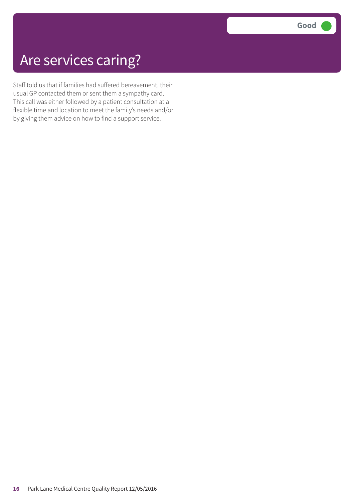## Are services caring?

Staff told us that if families had suffered bereavement, their usual GP contacted them or sent them a sympathy card. This call was either followed by a patient consultation at a flexible time and location to meet the family's needs and/or by giving them advice on how to find a support service.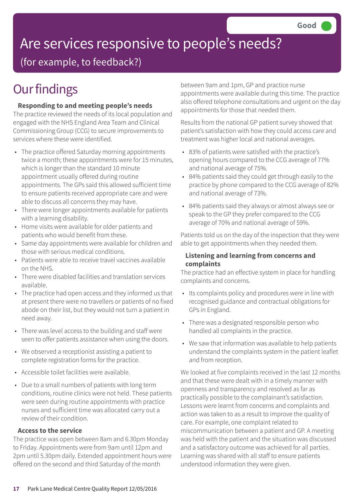# Are services responsive to people's needs?

(for example, to feedback?)

## **Our findings**

#### **Responding to and meeting people's needs**

The practice reviewed the needs of its local population and engaged with the NHS England Area Team and Clinical Commissioning Group (CCG) to secure improvements to services where these were identified.

- The practice offered Saturday morning appointments twice a month; these appointments were for 15 minutes, which is longer than the standard 10 minute appointment usually offered during routine appointments. The GPs said this allowed sufficient time to ensure patients received appropriate care and were able to discuss all concerns they may have.
- There were longer appointments available for patients with a learning disability.
- Home visits were available for older patients and patients who would benefit from these.
- Same day appointments were available for children and those with serious medical conditions.
- Patients were able to receive travel vaccines available on the NHS.
- There were disabled facilities and translation services available.
- The practice had open access and they informed us that at present there were no travellers or patients of no fixed abode on their list, but they would not turn a patient in need away.
- There was level access to the building and staff were seen to offer patients assistance when using the doors.
- We observed a receptionist assisting a patient to complete registration forms for the practice.
- Accessible toilet facilities were available.
- Due to a small numbers of patients with long term conditions, routine clinics were not held. These patients were seen during routine appointments with practice nurses and sufficient time was allocated carry out a review of their condition.

#### **Access to the service**

The practice was open between 8am and 6.30pm Monday to Friday. Appointments were from 9am until 12pm and 2pm until 5.30pm daily. Extended appointment hours were offered on the second and third Saturday of the month

between 9am and 1pm, GP and practice nurse appointments were available during this time. The practice also offered telephone consultations and urgent on the day appointments for those that needed them.

Results from the national GP patient survey showed that patient's satisfaction with how they could access care and treatment was higher local and national averages.

- 83% of patients were satisfied with the practice's opening hours compared to the CCG average of 77% and national average of 75%.
- 84% patients said they could get through easily to the practice by phone compared to the CCG average of 82% and national average of 73%.
- 84% patients said they always or almost always see or speak to the GP they prefer compared to the CCG average of 70% and national average of 59%.

Patients told us on the day of the inspection that they were able to get appointments when they needed them.

#### **Listening and learning from concerns and complaints**

The practice had an effective system in place for handling complaints and concerns.

- Its complaints policy and procedures were in line with recognised guidance and contractual obligations for GPs in England.
- There was a designated responsible person who handled all complaints in the practice.
- We saw that information was available to help patients understand the complaints system in the patient leaflet and from reception.

We looked at five complaints received in the last 12 months and that these were dealt with in a timely manner with openness and transparency and resolved as far as practically possible to the complainant's satisfaction. Lessons were learnt from concerns and complaints and action was taken to as a result to improve the quality of care. For example, one complaint related to miscommunication between a patient and GP. A meeting was held with the patient and the situation was discussed and a satisfactory outcome was achieved for all parties. Learning was shared with all staff to ensure patients understood information they were given.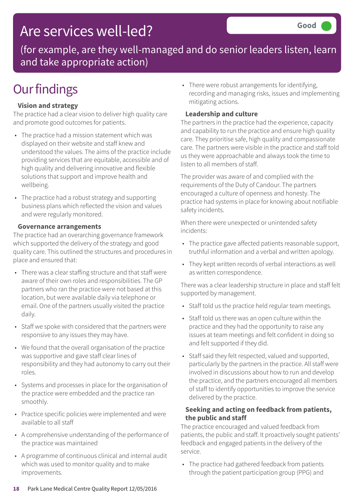## Are services well-led?

(for example, are they well-managed and do senior leaders listen, learn and take appropriate action)

## **Our findings**

#### **Vision and strategy**

The practice had a clear vision to deliver high quality care and promote good outcomes for patients.

- The practice had a mission statement which was displayed on their website and staff knew and understood the values. The aims of the practice include providing services that are equitable, accessible and of high quality and delivering innovative and flexible solutions that support and improve health and wellbeing.
- The practice had a robust strategy and supporting business plans which reflected the vision and values and were regularly monitored.

#### **Governance arrangements**

The practice had an overarching governance framework which supported the delivery of the strategy and good quality care. This outlined the structures and procedures in place and ensured that:

- There was a clear staffing structure and that staff were aware of their own roles and responsibilities. The GP partners who ran the practice were not based at this location, but were available daily via telephone or email. One of the partners usually visited the practice daily.
- Staff we spoke with considered that the partners were responsive to any issues they may have.
- We found that the overall organisation of the practice was supportive and gave staff clear lines of responsibility and they had autonomy to carry out their roles.
- Systems and processes in place for the organisation of the practice were embedded and the practice ran smoothly.
- Practice specific policies were implemented and were available to all staff
- A comprehensive understanding of the performance of the practice was maintained
- A programme of continuous clinical and internal audit which was used to monitor quality and to make improvements.

• There were robust arrangements for identifying, recording and managing risks, issues and implementing mitigating actions.

#### **Leadership and culture**

The partners in the practice had the experience, capacity and capability to run the practice and ensure high quality care. They prioritise safe, high quality and compassionate care. The partners were visible in the practice and staff told us they were approachable and always took the time to listen to all members of staff.

The provider was aware of and complied with the requirements of the Duty of Candour. The partners encouraged a culture of openness and honesty. The practice had systems in place for knowing about notifiable safety incidents.

When there were unexpected or unintended safety incidents:

- The practice gave affected patients reasonable support, truthful information and a verbal and written apology.
- They kept written records of verbal interactions as well as written correspondence.

There was a clear leadership structure in place and staff felt supported by management.

- Staff told us the practice held regular team meetings.
- Staff told us there was an open culture within the practice and they had the opportunity to raise any issues at team meetings and felt confident in doing so and felt supported if they did.
- Staff said they felt respected, valued and supported, particularly by the partners in the practice. All staff were involved in discussions about how to run and develop the practice, and the partners encouraged all members of staff to identify opportunities to improve the service delivered by the practice.

#### **Seeking and acting on feedback from patients, the public and staff**

The practice encouraged and valued feedback from patients, the public and staff. It proactively sought patients' feedback and engaged patients in the delivery of the service.

• The practice had gathered feedback from patients through the patient participation group (PPG) and